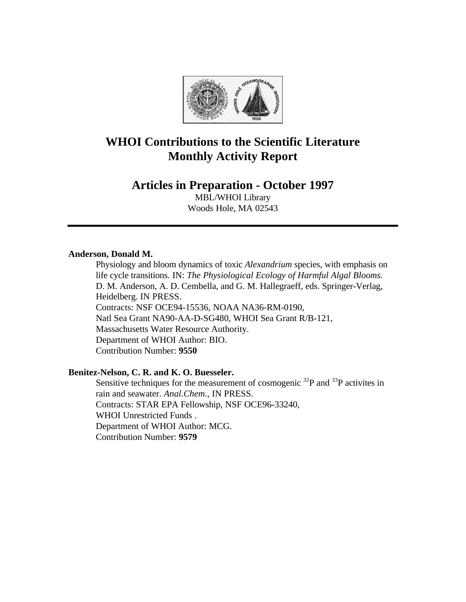

# **WHOI Contributions to the Scientific Literature Monthly Activity Report**

## **Articles in Preparation - October 1997**

MBL/WHOI Library Woods Hole, MA 02543

## **Anderson, Donald M.**

Physiology and bloom dynamics of toxic *Alexandrium* species, with emphasis on life cycle transitions. IN: *The Physiological Ecology of Harmful Algal Blooms.* D. M. Anderson, A. D. Cembella, and G. M. Hallegraeff, eds. Springer-Verlag, Heidelberg. IN PRESS. Contracts: NSF OCE94-15536, NOAA NA36-RM-0190, Natl Sea Grant NA90-AA-D-SG480, WHOI Sea Grant R/B-121, Massachusetts Water Resource Authority. Department of WHOI Author: BIO. Contribution Number: **9550**

## **Benitez-Nelson, C. R. and K. O. Buesseler.**

Sensitive techniques for the measurement of cosmogenic  $^{32}P$  and  $^{33}P$  activites in rain and seawater. *Anal.Chem.*, IN PRESS. Contracts: STAR EPA Fellowship, NSF OCE96-33240, WHOI Unrestricted Funds . Department of WHOI Author: MCG. Contribution Number: **9579**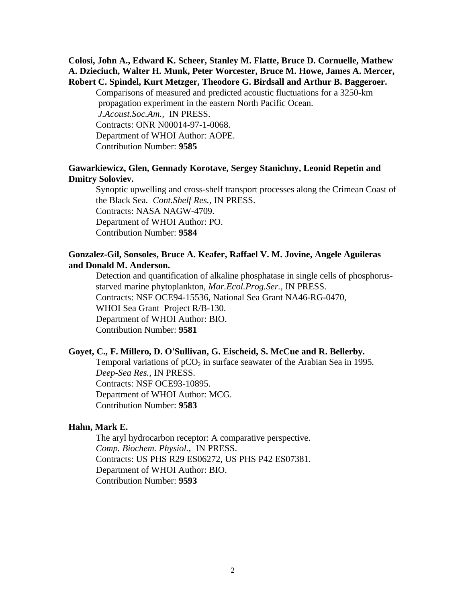## **Colosi, John A., Edward K. Scheer, Stanley M. Flatte, Bruce D. Cornuelle, Mathew A. Dzieciuch, Walter H. Munk, Peter Worcester, Bruce M. Howe, James A. Mercer, Robert C. Spindel, Kurt Metzger, Theodore G. Birdsall and Arthur B. Baggeroer.**

Comparisons of measured and predicted acoustic fluctuations for a 3250-km propagation experiment in the eastern North Pacific Ocean. *J.Acoust.Soc.Am.,* IN PRESS. Contracts: ONR N00014-97-1-0068. Department of WHOI Author: AOPE. Contribution Number: **9585**

## **Gawarkiewicz, Glen, Gennady Korotave, Sergey Stanichny, Leonid Repetin and Dmitry Soloviev.**

Synoptic upwelling and cross-shelf transport processes along the Crimean Coast of the Black Sea. *Cont.Shelf Res.*, IN PRESS. Contracts: NASA NAGW-4709. Department of WHOI Author: PO. Contribution Number: **9584**

## **Gonzalez-Gil, Sonsoles, Bruce A. Keafer, Raffael V. M. Jovine, Angele Aguileras and Donald M. Anderson.**

Detection and quantification of alkaline phosphatase in single cells of phosphorusstarved marine phytoplankton, *Mar.Ecol.Prog.Ser.,* IN PRESS. Contracts: NSF OCE94-15536, National Sea Grant NA46-RG-0470, WHOI Sea Grant Project R/B-130. Department of WHOI Author: BIO. Contribution Number: **9581**

#### **Goyet, C., F. Millero, D. O'Sullivan, G. Eischeid, S. McCue and R. Bellerby.**

Temporal variations of  $pCO<sub>2</sub>$  in surface seawater of the Arabian Sea in 1995. *Deep-Sea Res.*, IN PRESS. Contracts: NSF OCE93-10895. Department of WHOI Author: MCG. Contribution Number: **9583**

#### **Hahn, Mark E.**

The aryl hydrocarbon receptor: A comparative perspective. *Comp. Biochem. Physiol.*, IN PRESS. Contracts: US PHS R29 ES06272, US PHS P42 ES07381. Department of WHOI Author: BIO. Contribution Number: **9593**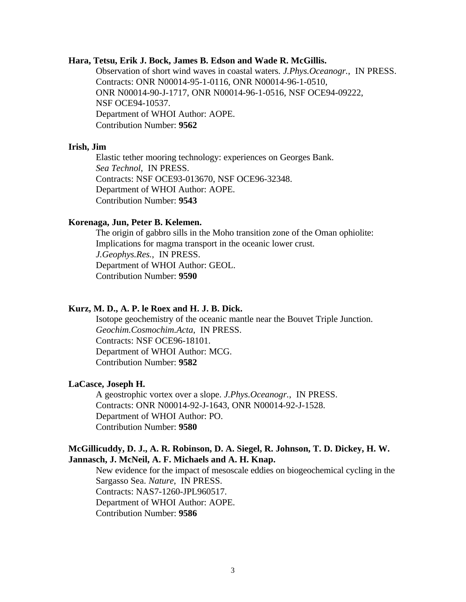## **Hara, Tetsu, Erik J. Bock, James B. Edson and Wade R. McGillis.**

Observation of short wind waves in coastal waters. *J.Phys.Oceanogr.*, IN PRESS. Contracts: ONR N00014-95-1-0116, ONR N00014-96-1-0510, ONR N00014-90-J-1717, ONR N00014-96-1-0516, NSF OCE94-09222, NSF OCE94-10537. Department of WHOI Author: AOPE. Contribution Number: **9562**

#### **Irish, Jim**

Elastic tether mooring technology: experiences on Georges Bank. *Sea Technol*, IN PRESS. Contracts: NSF OCE93-013670, NSF OCE96-32348. Department of WHOI Author: AOPE. Contribution Number: **9543**

#### **Korenaga, Jun, Peter B. Kelemen.**

The origin of gabbro sills in the Moho transition zone of the Oman ophiolite: Implications for magma transport in the oceanic lower crust. *J.Geophys.Res.*, IN PRESS. Department of WHOI Author: GEOL. Contribution Number: **9590**

#### **Kurz, M. D., A. P. le Roex and H. J. B. Dick.**

Isotope geochemistry of the oceanic mantle near the Bouvet Triple Junction. *Geochim.Cosmochim.Acta*, IN PRESS. Contracts: NSF OCE96-18101. Department of WHOI Author: MCG. Contribution Number: **9582**

#### **LaCasce, Joseph H.**

A geostrophic vortex over a slope. *J.Phys.Oceanogr.*, IN PRESS. Contracts: ONR N00014-92-J-1643, ONR N00014-92-J-1528. Department of WHOI Author: PO. Contribution Number: **9580**

## **McGillicuddy, D. J., A. R. Robinson, D. A. Siegel, R. Johnson, T. D. Dickey, H. W. Jannasch, J. McNeil, A. F. Michaels and A. H. Knap.**

New evidence for the impact of mesoscale eddies on biogeochemical cycling in the Sargasso Sea. *Nature*, IN PRESS. Contracts: NAS7-1260-JPL960517. Department of WHOI Author: AOPE. Contribution Number: **9586**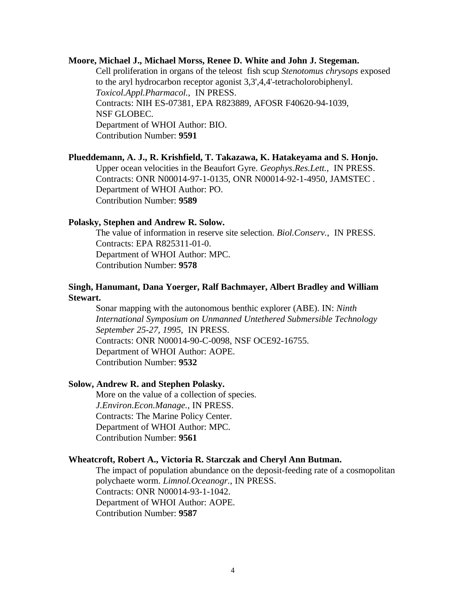#### **Moore, Michael J., Michael Morss, Renee D. White and John J. Stegeman.**

Cell proliferation in organs of the teleost fish scup *Stenotomus chrysops* exposed to the aryl hydrocarbon receptor agonist 3,3',4,4'-tetracholorobiphenyl. *Toxicol.Appl.Pharmacol.*, IN PRESS. Contracts: NIH ES-07381, EPA R823889, AFOSR F40620-94-1039, NSF GLOBEC. Department of WHOI Author: BIO. Contribution Number: **9591**

**Plueddemann, A. J., R. Krishfield, T. Takazawa, K. Hatakeyama and S. Honjo.** Upper ocean velocities in the Beaufort Gyre. *Geophys.Res.Lett.*, IN PRESS. Contracts: ONR N00014-97-1-0135, ONR N00014-92-1-4950, JAMSTEC . Department of WHOI Author: PO. Contribution Number: **9589**

#### **Polasky, Stephen and Andrew R. Solow.**

The value of information in reserve site selection. *Biol.Conserv.*, IN PRESS. Contracts: EPA R825311-01-0. Department of WHOI Author: MPC. Contribution Number: **9578**

## **Singh, Hanumant, Dana Yoerger, Ralf Bachmayer, Albert Bradley and William Stewart.**

Sonar mapping with the autonomous benthic explorer (ABE). IN: *Ninth International Symposium on Unmanned Untethered Submersible Technology September 25-27, 1995*, IN PRESS. Contracts: ONR N00014-90-C-0098, NSF OCE92-16755. Department of WHOI Author: AOPE. Contribution Number: **9532**

#### **Solow, Andrew R. and Stephen Polasky.**

More on the value of a collection of species. *J.Environ.Econ.Manage.*, IN PRESS. Contracts: The Marine Policy Center. Department of WHOI Author: MPC. Contribution Number: **9561**

#### **Wheatcroft, Robert A., Victoria R. Starczak and Cheryl Ann Butman.**

The impact of population abundance on the deposit-feeding rate of a cosmopolitan polychaete worm. *Limnol.Oceanogr.*, IN PRESS. Contracts: ONR N00014-93-1-1042. Department of WHOI Author: AOPE. Contribution Number: **9587**